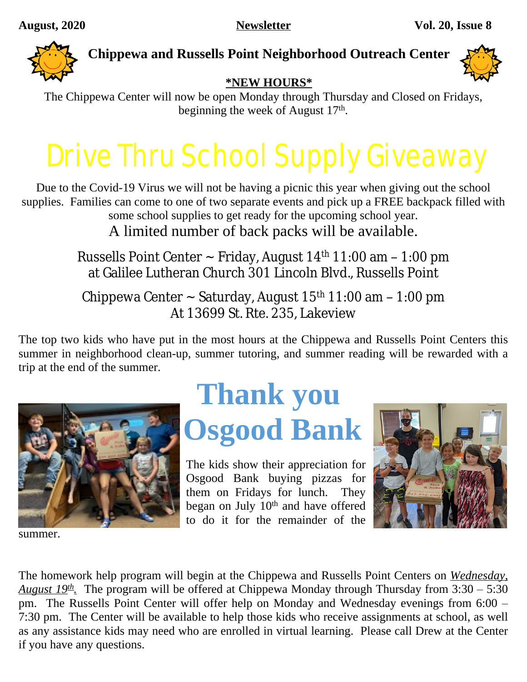

### **Chippewa and Russells Point Neighborhood Outreach Center**



### **\*NEW HOURS\***

The Chippewa Center will now be open Monday through Thursday and Closed on Fridays, beginning the week of August 17<sup>th</sup>.

# Drive Thru School Supply Giveaway

Due to the Covid-19 Virus we will not be having a picnic this year when giving out the school supplies. Families can come to one of two separate events and pick up a FREE backpack filled with some school supplies to get ready for the upcoming school year. A limited number of back packs will be available.

> Russells Point Center  $\sim$  Friday, August 14<sup>th</sup> 11:00 am  $-$  1:00 pm at Galilee Lutheran Church 301 Lincoln Blvd., Russells Point

Chippewa Center ~ Saturday, August 15<sup>th</sup> 11:00 am - 1:00 pm At 13699 St. Rte. 235, Lakeview

The top two kids who have put in the most hours at the Chippewa and Russells Point Centers this summer in neighborhood clean-up, summer tutoring, and summer reading will be rewarded with a trip at the end of the summer.



summer.

### **Thank you Osgood Bank**

The kids show their appreciation for Osgood Bank buying pizzas for them on Fridays for lunch. They began on July 10<sup>th</sup> and have offered to do it for the remainder of the



The homework help program will begin at the Chippewa and Russells Point Centers on *Wednesday, August 19th .* The program will be offered at Chippewa Monday through Thursday from 3:30 – 5:30 pm. The Russells Point Center will offer help on Monday and Wednesday evenings from 6:00 – 7:30 pm. The Center will be available to help those kids who receive assignments at school, as well as any assistance kids may need who are enrolled in virtual learning. Please call Drew at the Center if you have any questions.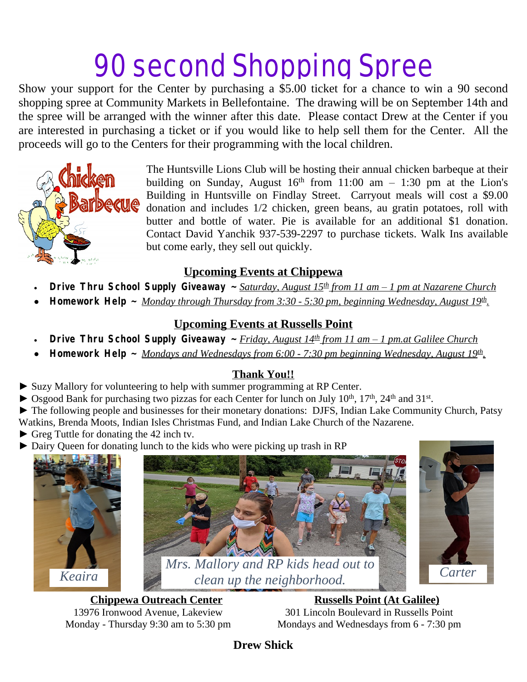## 90 second Shopping Spree

Show your support for the Center by purchasing a \$5.00 ticket for a chance to win a 90 second shopping spree at Community Markets in Bellefontaine. The drawing will be on September 14th and the spree will be arranged with the winner after this date. Please contact Drew at the Center if you are interested in purchasing a ticket or if you would like to help sell them for the Center. All the proceeds will go to the Centers for their programming with the local children.



The Huntsville Lions Club will be hosting their annual chicken barbeque at their building on Sunday, August  $16<sup>th</sup>$  from  $11:00$  am  $-1:30$  pm at the Lion's Building in Huntsville on Findlay Street. Carryout meals will cost a \$9.00 donation and includes 1/2 chicken, green beans, au gratin potatoes, roll with butter and bottle of water. Pie is available for an additional \$1 donation. Contact David Yanchik 937-539-2297 to purchase tickets. Walk Ins available but come early, they sell out quickly.

### **Upcoming Events at Chippewa**

- **Drive Thru School Supply Giveaway ~** *Saturday, August 15th from 11 am – 1 pm at Nazarene Church*
- **Homework Help ~** *Monday through Thursday from 3:30 5:30 pm, beginning Wednesday, August 19th .*

### **Upcoming Events at Russells Point**

- **Drive Thru School Supply Giveaway ~** *Friday, August 14th from 11 am – 1 pm.at Galilee Church*
- **Homework Help ~** *Mondays and Wednesdays from 6:00 7:30 pm beginning Wednesday, August 19th .*

### **Thank You!!**

- ► Suzy Mallory for volunteering to help with summer programming at RP Center.
- ▶ Osgood Bank for purchasing two pizzas for each Center for lunch on July 10<sup>th</sup>, 17<sup>th</sup>, 24<sup>th</sup> and 31<sup>st</sup>.

► The following people and businesses for their monetary donations: DJFS, Indian Lake Community Church, Patsy Watkins, Brenda Moots, Indian Isles Christmas Fund, and Indian Lake Church of the Nazarene.

- ► Greg Tuttle for donating the 42 inch tv.
- ► Dairy Queen for donating lunch to the kids who were picking up trash in RP







**Chippewa Outreach Center** *Russells Point (At Galilee)* 13976 Ironwood Avenue, Lakeview 301 Lincoln Boulevard in Russells Point Monday - Thursday 9:30 am to 5:30 pm Mondays and Wednesdays from 6 - 7:30 pm

**Drew Shick**